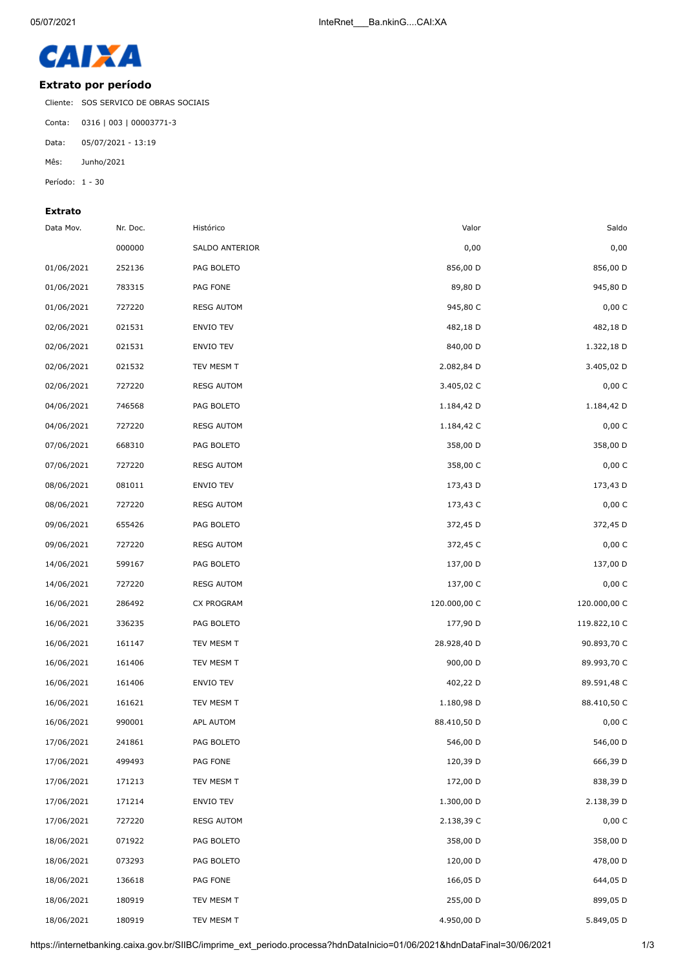

## **Extrato por período**

Cliente: SOS SERVICO DE OBRAS SOCIAIS

Conta: 0316 | 003 | 00003771-3

Data: 05/07/2021 - 13:19

Mês: Junho/2021

Período: 1 - 30

## **Extrato**

| Saldo        | Valor        | Histórico         | Nr. Doc. | Data Mov.  |
|--------------|--------------|-------------------|----------|------------|
| 0,00         | 0,00         | SALDO ANTERIOR    | 000000   |            |
| 856,00 D     | 856,00 D     | PAG BOLETO        | 252136   | 01/06/2021 |
| 945,80 D     | 89,80 D      | PAG FONE          | 783315   | 01/06/2021 |
| 0,00 C       | 945,80 C     | <b>RESG AUTOM</b> | 727220   | 01/06/2021 |
| 482,18 D     | 482,18 D     | <b>ENVIO TEV</b>  | 021531   | 02/06/2021 |
| 1.322,18 D   | 840,00 D     | ENVIO TEV         | 021531   | 02/06/2021 |
| 3.405,02 D   | 2.082,84 D   | TEV MESM T        | 021532   | 02/06/2021 |
| 0,00 C       | 3.405,02 C   | <b>RESG AUTOM</b> | 727220   | 02/06/2021 |
| 1.184,42 D   | 1.184,42 D   | PAG BOLETO        | 746568   | 04/06/2021 |
| 0,00 C       | 1.184,42 C   | <b>RESG AUTOM</b> | 727220   | 04/06/2021 |
| 358,00 D     | 358,00 D     | PAG BOLETO        | 668310   | 07/06/2021 |
| 0,00 C       | 358,00 C     | <b>RESG AUTOM</b> | 727220   | 07/06/2021 |
| 173,43 D     | 173,43 D     | ENVIO TEV         | 081011   | 08/06/2021 |
| 0,00 C       | 173,43 C     | <b>RESG AUTOM</b> | 727220   | 08/06/2021 |
| 372,45 D     | 372,45 D     | PAG BOLETO        | 655426   | 09/06/2021 |
| 0,00C        | 372,45 C     | <b>RESG AUTOM</b> | 727220   | 09/06/2021 |
| 137,00 D     | 137,00 D     | PAG BOLETO        | 599167   | 14/06/2021 |
| 0,00 C       | 137,00 C     | <b>RESG AUTOM</b> | 727220   | 14/06/2021 |
| 120.000,00 C | 120.000,00 C | CX PROGRAM        | 286492   | 16/06/2021 |
| 119.822,10 C | 177,90 D     | PAG BOLETO        | 336235   | 16/06/2021 |
| 90.893,70 C  | 28.928,40 D  | TEV MESM T        | 161147   | 16/06/2021 |
| 89.993,70 C  | 900,00 D     | TEV MESM T        | 161406   | 16/06/2021 |
| 89.591,48 C  | 402,22 D     | ENVIO TEV         | 161406   | 16/06/2021 |
| 88.410,50 C  | 1.180,98 D   | TEV MESM T        | 161621   | 16/06/2021 |
| 0,00 C       | 88.410,50 D  | APL AUTOM         | 990001   | 16/06/2021 |
| 546,00 D     | 546,00 D     | PAG BOLETO        | 241861   | 17/06/2021 |
| 666,39 D     | 120,39 D     | PAG FONE          | 499493   | 17/06/2021 |
| 838,39 D     | 172,00 D     | TEV MESM T        | 171213   | 17/06/2021 |
| 2.138,39 D   | 1.300,00 D   | ENVIO TEV         | 171214   | 17/06/2021 |
| 0,00C        | 2.138,39 C   | <b>RESG AUTOM</b> | 727220   | 17/06/2021 |
| 358,00 D     | 358,00 D     | PAG BOLETO        | 071922   | 18/06/2021 |
| 478,00 D     | 120,00 D     | PAG BOLETO        | 073293   | 18/06/2021 |
| 644,05 D     | 166,05 D     | PAG FONE          | 136618   | 18/06/2021 |
| 899,05 D     | 255,00 D     | TEV MESM T        | 180919   | 18/06/2021 |
| 5.849,05 D   | 4.950,00 D   | TEV MESM T        | 180919   | 18/06/2021 |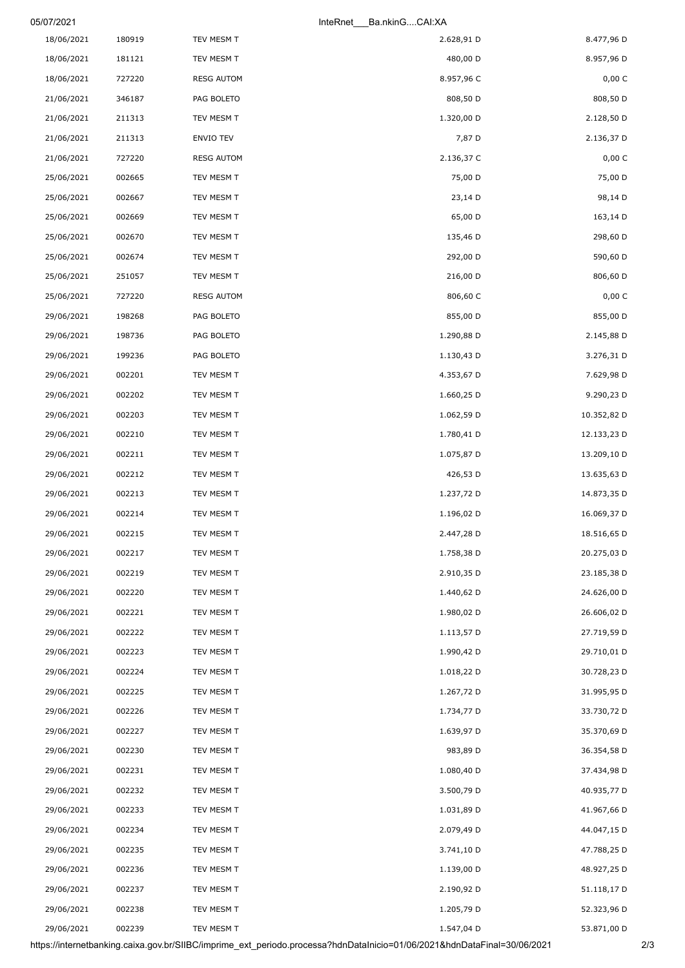| 05/07/2021 |        |                   | Ba.nkinGCAI:XA<br>InteRnet |             |
|------------|--------|-------------------|----------------------------|-------------|
| 18/06/2021 | 180919 | TEV MESM T        | 2.628,91 D                 | 8.477,96 D  |
| 18/06/2021 | 181121 | TEV MESM T        | 480,00 D                   | 8.957,96 D  |
| 18/06/2021 | 727220 | <b>RESG AUTOM</b> | 8.957,96 C                 | 0,00 C      |
| 21/06/2021 | 346187 | PAG BOLETO        | 808,50 D                   | 808,50 D    |
| 21/06/2021 | 211313 | TEV MESM T        | 1.320,00 D                 | 2.128,50 D  |
| 21/06/2021 | 211313 | <b>ENVIO TEV</b>  | 7,87 D                     | 2.136,37 D  |
| 21/06/2021 | 727220 | <b>RESG AUTOM</b> | 2.136,37 C                 | 0,00 C      |
| 25/06/2021 | 002665 | TEV MESM T        | 75,00 D                    | 75,00 D     |
| 25/06/2021 | 002667 | TEV MESM T        | 23,14 D                    | 98,14 D     |
| 25/06/2021 | 002669 | TEV MESM T        | 65,00 D                    | 163,14 D    |
| 25/06/2021 | 002670 | TEV MESM T        | 135,46 D                   | 298,60 D    |
| 25/06/2021 | 002674 | TEV MESM T        | 292,00 D                   | 590,60 D    |
| 25/06/2021 | 251057 | TEV MESM T        | 216,00 D                   | 806,60 D    |
| 25/06/2021 | 727220 | <b>RESG AUTOM</b> | 806,60 C                   | 0,00 C      |
| 29/06/2021 | 198268 | PAG BOLETO        | 855,00 D                   | 855,00 D    |
| 29/06/2021 | 198736 | PAG BOLETO        | 1.290,88 D                 | 2.145,88 D  |
| 29/06/2021 | 199236 | PAG BOLETO        | 1.130,43 D                 | 3.276,31 D  |
| 29/06/2021 | 002201 | TEV MESM T        | 4.353,67 D                 | 7.629,98 D  |
| 29/06/2021 | 002202 | TEV MESM T        | 1.660,25 D                 | 9.290,23 D  |
| 29/06/2021 | 002203 | TEV MESM T        | 1.062,59 D                 | 10.352,82 D |
| 29/06/2021 | 002210 | TEV MESM T        | 1.780,41 D                 | 12.133,23 D |
| 29/06/2021 | 002211 | TEV MESM T        | 1.075,87 D                 | 13.209,10 D |
| 29/06/2021 | 002212 | TEV MESM T        | 426,53 D                   | 13.635,63 D |
| 29/06/2021 | 002213 | TEV MESM T        | 1.237,72 D                 | 14.873,35 D |
| 29/06/2021 | 002214 | TEV MESM T        | 1.196,02 D                 | 16.069,37 D |
| 29/06/2021 | 002215 | TEV MESM T        | 2.447,28 D                 | 18.516,65 D |
| 29/06/2021 | 002217 | TEV MESM T        | 1.758,38 D                 | 20.275,03 D |
| 29/06/2021 | 002219 | TEV MESM T        | 2.910,35 D                 | 23.185,38 D |
| 29/06/2021 | 002220 | TEV MESM T        | 1.440,62 D                 | 24.626,00 D |
| 29/06/2021 | 002221 | TEV MESM T        | 1.980,02 D                 | 26.606,02 D |
| 29/06/2021 | 002222 | TEV MESM T        | 1.113,57 D                 | 27.719,59 D |
| 29/06/2021 | 002223 | TEV MESM T        | 1.990,42 D                 | 29.710,01 D |
| 29/06/2021 | 002224 | TEV MESM T        | 1.018,22 D                 | 30.728,23 D |
| 29/06/2021 | 002225 | TEV MESM T        | 1.267,72 D                 | 31.995,95 D |
| 29/06/2021 | 002226 | TEV MESM T        | 1.734,77 D                 | 33.730,72 D |
| 29/06/2021 | 002227 | TEV MESM T        | 1.639,97 D                 | 35.370,69 D |
| 29/06/2021 | 002230 | TEV MESM T        | 983,89 D                   | 36.354,58 D |
| 29/06/2021 | 002231 | TEV MESM T        | 1.080,40 D                 | 37.434,98 D |
| 29/06/2021 | 002232 | TEV MESM T        | 3.500,79 D                 | 40.935,77 D |
| 29/06/2021 | 002233 | TEV MESM T        | 1.031,89 D                 | 41.967,66 D |
| 29/06/2021 | 002234 | TEV MESM T        | 2.079,49 D                 | 44.047,15 D |
| 29/06/2021 | 002235 | TEV MESM T        | 3.741,10 D                 | 47.788,25 D |
| 29/06/2021 | 002236 | TEV MESM T        | 1.139,00 D                 | 48.927,25 D |
| 29/06/2021 | 002237 | TEV MESM T        | 2.190,92 D                 | 51.118,17 D |
| 29/06/2021 | 002238 | TEV MESM T        | 1.205,79 D                 | 52.323,96 D |
| 29/06/2021 | 002239 | TEV MESM T        | 1.547,04 D                 | 53.871,00 D |

https://internetbanking.caixa.gov.br/SIIBC/imprime\_ext\_periodo.processa?hdnDataInicio=01/06/2021&hdnDataFinal=30/06/2021 2/3